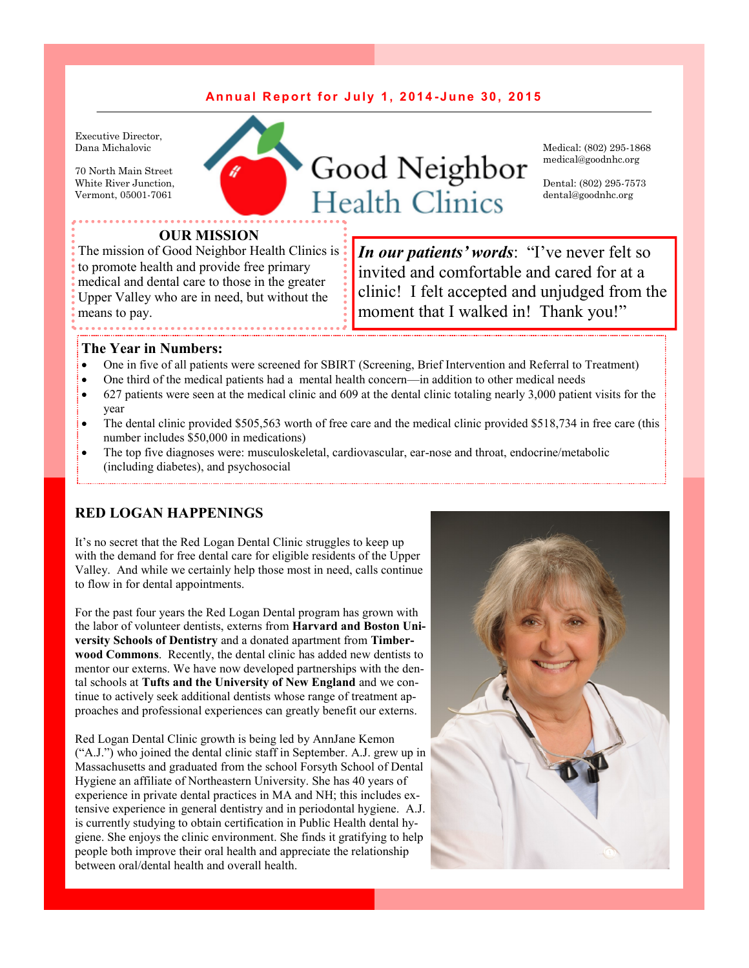## **An n u a l R e p o r t f o r J u l y 1 , 2 0 1 4 - J u n e 3 0 , 2 0 1 5**

Executive Director, Dana Michalovic

70 North Main Street White River Junction, Vermont, 05001-7061



Medical: (802) 295-1868 medical@goodnhc.org

Dental: (802) 295-7573 dental@goodnhc.org

### **OUR MISSION**

The mission of Good Neighbor Health Clinics is: to promote health and provide free primary medical and dental care to those in the greater Upper Valley who are in need, but without the means to pay.

*In our patients' words*: "I've never felt so invited and comfortable and cared for at a clinic! I felt accepted and unjudged from the moment that I walked in! Thank you!"

### **The Year in Numbers:**

- One in five of all patients were screened for SBIRT (Screening, Brief Intervention and Referral to Treatment)
- One third of the medical patients had a mental health concern—in addition to other medical needs
- 627 patients were seen at the medical clinic and 609 at the dental clinic totaling nearly 3,000 patient visits for the year
- The dental clinic provided \$505,563 worth of free care and the medical clinic provided \$518,734 in free care (this number includes \$50,000 in medications)
- The top five diagnoses were: musculoskeletal, cardiovascular, ear-nose and throat, endocrine/metabolic (including diabetes), and psychosocial

### **RED LOGAN HAPPENINGS**

It's no secret that the Red Logan Dental Clinic struggles to keep up with the demand for free dental care for eligible residents of the Upper Valley. And while we certainly help those most in need, calls continue to flow in for dental appointments.

For the past four years the Red Logan Dental program has grown with the labor of volunteer dentists, externs from **Harvard and Boston University Schools of Dentistry** and a donated apartment from **Timberwood Commons**. Recently, the dental clinic has added new dentists to mentor our externs. We have now developed partnerships with the dental schools at **Tufts and the University of New England** and we continue to actively seek additional dentists whose range of treatment approaches and professional experiences can greatly benefit our externs.

Red Logan Dental Clinic growth is being led by AnnJane Kemon ("A.J.") who joined the dental clinic staff in September. A.J. grew up in Massachusetts and graduated from the school Forsyth School of Dental Hygiene an affiliate of Northeastern University. She has 40 years of experience in private dental practices in MA and NH; this includes extensive experience in general dentistry and in periodontal hygiene. A.J. is currently studying to obtain certification in Public Health dental hygiene. She enjoys the clinic environment. She finds it gratifying to help people both improve their oral health and appreciate the relationship between oral/dental health and overall health.

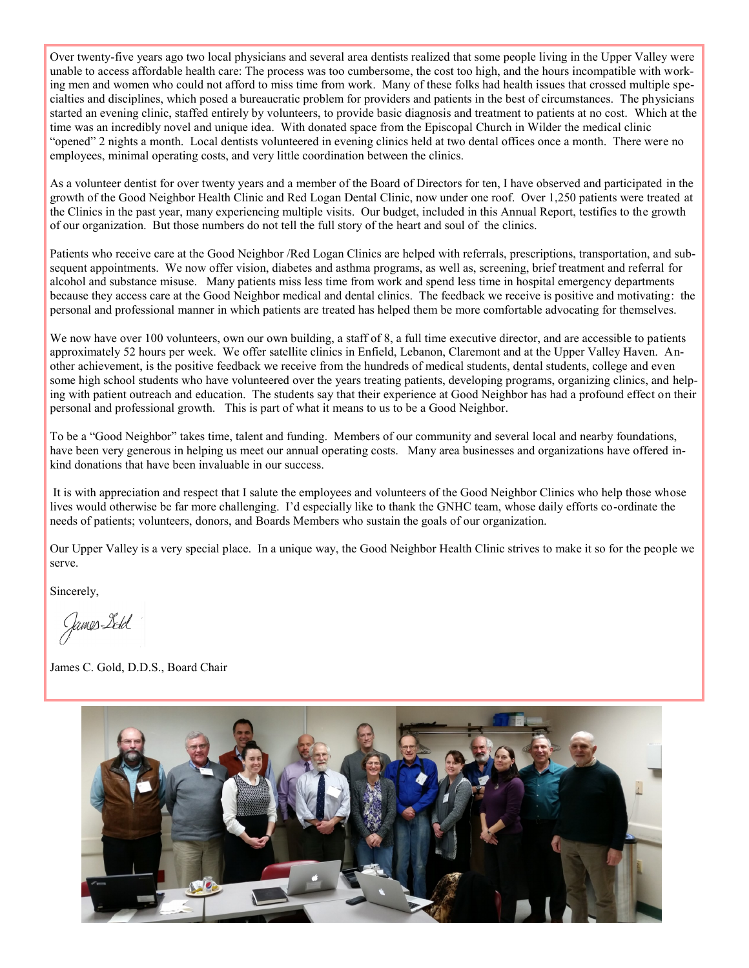Over twenty-five years ago two local physicians and several area dentists realized that some people living in the Upper Valley were unable to access affordable health care: The process was too cumbersome, the cost too high, and the hours incompatible with working men and women who could not afford to miss time from work. Many of these folks had health issues that crossed multiple specialties and disciplines, which posed a bureaucratic problem for providers and patients in the best of circumstances. The physicians started an evening clinic, staffed entirely by volunteers, to provide basic diagnosis and treatment to patients at no cost. Which at the time was an incredibly novel and unique idea. With donated space from the Episcopal Church in Wilder the medical clinic "opened" 2 nights a month. Local dentists volunteered in evening clinics held at two dental offices once a month. There were no employees, minimal operating costs, and very little coordination between the clinics.

As a volunteer dentist for over twenty years and a member of the Board of Directors for ten, I have observed and participated in the growth of the Good Neighbor Health Clinic and Red Logan Dental Clinic, now under one roof. Over 1,250 patients were treated at the Clinics in the past year, many experiencing multiple visits. Our budget, included in this Annual Report, testifies to the growth of our organization. But those numbers do not tell the full story of the heart and soul of the clinics.

Patients who receive care at the Good Neighbor /Red Logan Clinics are helped with referrals, prescriptions, transportation, and subsequent appointments. We now offer vision, diabetes and asthma programs, as well as, screening, brief treatment and referral for alcohol and substance misuse. Many patients miss less time from work and spend less time in hospital emergency departments because they access care at the Good Neighbor medical and dental clinics. The feedback we receive is positive and motivating: the personal and professional manner in which patients are treated has helped them be more comfortable advocating for themselves.

We now have over 100 volunteers, own our own building, a staff of 8, a full time executive director, and are accessible to patients approximately 52 hours per week. We offer satellite clinics in Enfield, Lebanon, Claremont and at the Upper Valley Haven. Another achievement, is the positive feedback we receive from the hundreds of medical students, dental students, college and even some high school students who have volunteered over the years treating patients, developing programs, organizing clinics, and helping with patient outreach and education. The students say that their experience at Good Neighbor has had a profound effect on their personal and professional growth. This is part of what it means to us to be a Good Neighbor.

To be a "Good Neighbor" takes time, talent and funding. Members of our community and several local and nearby foundations, have been very generous in helping us meet our annual operating costs. Many area businesses and organizations have offered inkind donations that have been invaluable in our success.

It is with appreciation and respect that I salute the employees and volunteers of the Good Neighbor Clinics who help those whose lives would otherwise be far more challenging. I'd especially like to thank the GNHC team, whose daily efforts co-ordinate the needs of patients; volunteers, donors, and Boards Members who sustain the goals of our organization.

Our Upper Valley is a very special place. In a unique way, the Good Neighbor Health Clinic strives to make it so for the people we serve.

Sincerely,

James Letd

James C. Gold, D.D.S., Board Chair

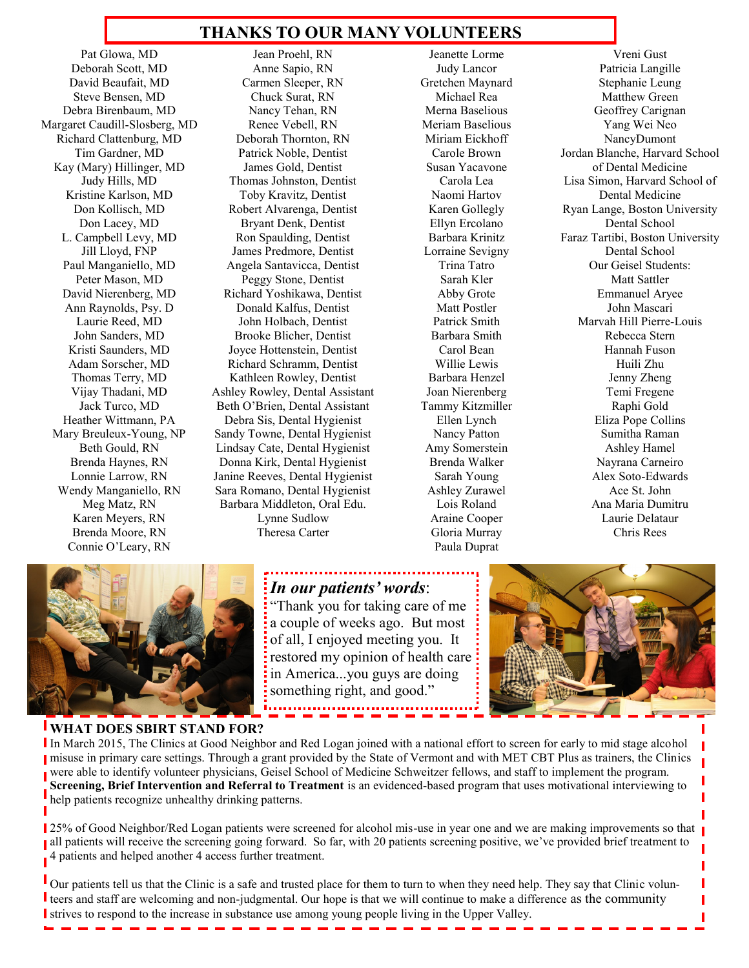## **THANKS TO OUR MANY VOLUNTEERS**

Pat Glowa, MD Deborah Scott, MD David Beaufait, MD Steve Bensen, MD Debra Birenbaum, MD Margaret Caudill-Slosberg, MD Richard Clattenburg, MD Tim Gardner, MD Kay (Mary) Hillinger, MD Judy Hills, MD Kristine Karlson, MD Don Kollisch, MD Don Lacey, MD L. Campbell Levy, MD Jill Lloyd, FNP Paul Manganiello, MD Peter Mason, MD David Nierenberg, MD Ann Raynolds, Psy. D Laurie Reed, MD John Sanders, MD Kristi Saunders, MD Adam Sorscher, MD Thomas Terry, MD Vijay Thadani, MD Jack Turco, MD Heather Wittmann, PA Mary Breuleux-Young, NP Beth Gould, RN Brenda Haynes, RN Lonnie Larrow, RN Wendy Manganiello, RN Meg Matz, RN Karen Meyers, RN Brenda Moore, RN Connie O'Leary, RN

Jean Proehl, RN Anne Sapio, RN Carmen Sleeper, RN Chuck Surat, RN Nancy Tehan, RN Renee Vebell, RN Deborah Thornton, RN Patrick Noble, Dentist James Gold, Dentist Thomas Johnston, Dentist Toby Kravitz, Dentist Robert Alvarenga, Dentist Bryant Denk, Dentist Ron Spaulding, Dentist James Predmore, Dentist Angela Santavicca, Dentist Peggy Stone, Dentist Richard Yoshikawa, Dentist Donald Kalfus, Dentist John Holbach, Dentist Brooke Blicher, Dentist Joyce Hottenstein, Dentist Richard Schramm, Dentist Kathleen Rowley, Dentist Ashley Rowley, Dental Assistant Beth O'Brien, Dental Assistant Debra Sis, Dental Hygienist Sandy Towne, Dental Hygienist Lindsay Cate, Dental Hygienist Donna Kirk, Dental Hygienist Janine Reeves, Dental Hygienist Sara Romano, Dental Hygienist Barbara Middleton, Oral Edu. Lynne Sudlow Theresa Carter

Jeanette Lorme Judy Lancor Gretchen Maynard Michael Rea Merna Baselious Meriam Baselious Miriam Eickhoff Carole Brown Susan Yacavone Carola Lea Naomi Hartov Karen Gollegly Ellyn Ercolano Barbara Krinitz Lorraine Sevigny Trina Tatro Sarah Kler Abby Grote Matt Postler Patrick Smith Barbara Smith Carol Bean Willie Lewis Barbara Henzel Joan Nierenberg Tammy Kitzmiller Ellen Lynch Nancy Patton Amy Somerstein Brenda Walker Sarah Young Ashley Zurawel Lois Roland Araine Cooper Gloria Murray Paula Duprat

Vreni Gust Patricia Langille Stephanie Leung Matthew Green Geoffrey Carignan Yang Wei Neo NancyDumont Jordan Blanche, Harvard School of Dental Medicine Lisa Simon, Harvard School of Dental Medicine Ryan Lange, Boston University Dental School Faraz Tartibi, Boston University Dental School Our Geisel Students: Matt Sattler Emmanuel Aryee John Mascari Marvah Hill Pierre-Louis Rebecca Stern Hannah Fuson Huili Zhu Jenny Zheng Temi Fregene Raphi Gold Eliza Pope Collins Sumitha Raman Ashley Hamel Nayrana Carneiro Alex Soto-Edwards Ace St. John Ana Maria Dumitru Laurie Delataur Chris Rees



**WHAT DOES SBIRT STAND FOR?** In March 2015, The Clinics at Good Neighbor and Red Logan joined with a national effort to screen for early to mid stage alcohol misuse in primary care settings. Through a grant provided by the State of Vermont and with MET CBT Plus as trainers, the Clinics were able to identify volunteer physicians, Geisel School of Medicine Schweitzer fellows, and staff to implement the program. **Screening, Brief Intervention and Referral to Treatment** is an evidenced-based program that uses motivational interviewing to help patients recognize unhealthy drinking patterns.

25% of Good Neighbor/Red Logan patients were screened for alcohol mis-use in year one and we are making improvements so that all patients will receive the screening going forward. So far, with 20 patients screening positive, we've provided brief treatment to 4 patients and helped another 4 access further treatment.

Our patients tell us that the Clinic is a safe and trusted place for them to turn to when they need help. They say that Clinic volunteers and staff are welcoming and non-judgmental. Our hope is that we will continue to make a difference as the community I strives to respond to the increase in substance use among young people living in the Upper Valley.

# *In our patients' words*:

"Thank you for taking care of me a couple of weeks ago. But most of all, I enjoyed meeting you. It restored my opinion of health care in America...you guys are doing something right, and good."



Г